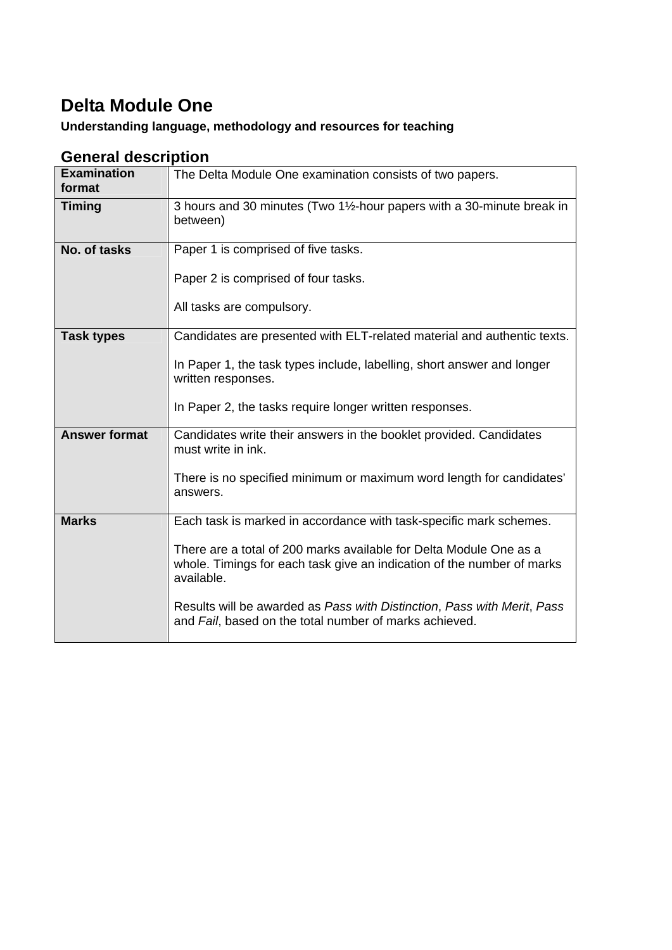# **Delta Module One**

## **Understanding language, methodology and resources for teaching**

## **General description**

| <b>Examination</b><br>format | The Delta Module One examination consists of two papers.                                                                                                                                                                                                                                                                                                              |  |  |
|------------------------------|-----------------------------------------------------------------------------------------------------------------------------------------------------------------------------------------------------------------------------------------------------------------------------------------------------------------------------------------------------------------------|--|--|
| <b>Timing</b>                | 3 hours and 30 minutes (Two 1½-hour papers with a 30-minute break in<br>between)                                                                                                                                                                                                                                                                                      |  |  |
| No. of tasks                 | Paper 1 is comprised of five tasks.<br>Paper 2 is comprised of four tasks.<br>All tasks are compulsory.                                                                                                                                                                                                                                                               |  |  |
| <b>Task types</b>            | Candidates are presented with ELT-related material and authentic texts.<br>In Paper 1, the task types include, labelling, short answer and longer<br>written responses.<br>In Paper 2, the tasks require longer written responses.                                                                                                                                    |  |  |
| <b>Answer format</b>         | Candidates write their answers in the booklet provided. Candidates<br>must write in ink.<br>There is no specified minimum or maximum word length for candidates'<br>answers.                                                                                                                                                                                          |  |  |
| <b>Marks</b>                 | Each task is marked in accordance with task-specific mark schemes.<br>There are a total of 200 marks available for Delta Module One as a<br>whole. Timings for each task give an indication of the number of marks<br>available.<br>Results will be awarded as Pass with Distinction, Pass with Merit, Pass<br>and Fail, based on the total number of marks achieved. |  |  |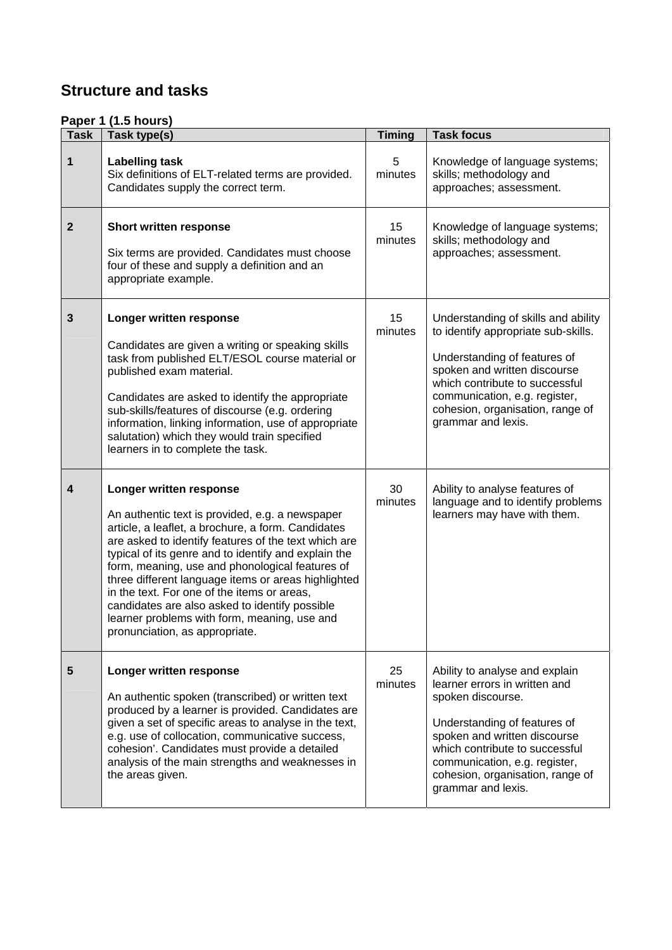# **Structure and tasks**

#### **Paper 1 (1.5 hours)**

| r.,<br><b>Task</b> | $\cdots$<br>Task type(s)                                                                                                                                                                                                                                                                                                                                                                                                                                                                                                                      | <b>Timing</b> | <b>Task focus</b>                                                                                                                                                                                                                                                                 |
|--------------------|-----------------------------------------------------------------------------------------------------------------------------------------------------------------------------------------------------------------------------------------------------------------------------------------------------------------------------------------------------------------------------------------------------------------------------------------------------------------------------------------------------------------------------------------------|---------------|-----------------------------------------------------------------------------------------------------------------------------------------------------------------------------------------------------------------------------------------------------------------------------------|
| 1                  | <b>Labelling task</b><br>Six definitions of ELT-related terms are provided.<br>Candidates supply the correct term.                                                                                                                                                                                                                                                                                                                                                                                                                            | 5<br>minutes  | Knowledge of language systems;<br>skills; methodology and<br>approaches; assessment.                                                                                                                                                                                              |
| $\overline{2}$     | Short written response<br>Six terms are provided. Candidates must choose<br>four of these and supply a definition and an<br>appropriate example.                                                                                                                                                                                                                                                                                                                                                                                              | 15<br>minutes | Knowledge of language systems;<br>skills; methodology and<br>approaches; assessment.                                                                                                                                                                                              |
| 3                  | Longer written response<br>Candidates are given a writing or speaking skills<br>task from published ELT/ESOL course material or<br>published exam material.<br>Candidates are asked to identify the appropriate<br>sub-skills/features of discourse (e.g. ordering<br>information, linking information, use of appropriate<br>salutation) which they would train specified<br>learners in to complete the task.                                                                                                                               | 15<br>minutes | Understanding of skills and ability<br>to identify appropriate sub-skills.<br>Understanding of features of<br>spoken and written discourse<br>which contribute to successful<br>communication, e.g. register,<br>cohesion, organisation, range of<br>grammar and lexis.           |
| 4                  | Longer written response<br>An authentic text is provided, e.g. a newspaper<br>article, a leaflet, a brochure, a form. Candidates<br>are asked to identify features of the text which are<br>typical of its genre and to identify and explain the<br>form, meaning, use and phonological features of<br>three different language items or areas highlighted<br>in the text. For one of the items or areas,<br>candidates are also asked to identify possible<br>learner problems with form, meaning, use and<br>pronunciation, as appropriate. | 30<br>minutes | Ability to analyse features of<br>language and to identify problems<br>learners may have with them.                                                                                                                                                                               |
| 5                  | Longer written response<br>An authentic spoken (transcribed) or written text<br>produced by a learner is provided. Candidates are<br>given a set of specific areas to analyse in the text,<br>e.g. use of collocation, communicative success,<br>cohesion'. Candidates must provide a detailed<br>analysis of the main strengths and weaknesses in<br>the areas given.                                                                                                                                                                        | 25<br>minutes | Ability to analyse and explain<br>learner errors in written and<br>spoken discourse.<br>Understanding of features of<br>spoken and written discourse<br>which contribute to successful<br>communication, e.g. register,<br>cohesion, organisation, range of<br>grammar and lexis. |